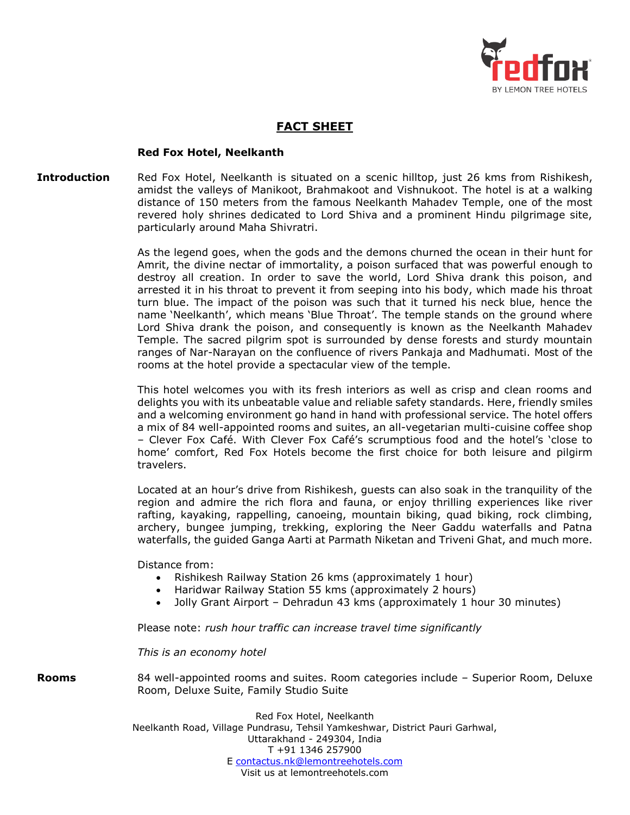

## **FACT SHEET**

## **Red Fox Hotel, Neelkanth**

## **Introduction** Red Fox Hotel, Neelkanth is situated on a scenic hilltop, just 26 kms from Rishikesh, amidst the valleys of Manikoot, Brahmakoot and Vishnukoot. The hotel is at a walking distance of 150 meters from the famous Neelkanth Mahadev Temple, one of the most revered holy shrines dedicated to Lord Shiva and a prominent Hindu pilgrimage site, particularly around Maha Shivratri.

As the legend goes, when the gods and the demons churned the ocean in their hunt for Amrit, the divine nectar of immortality, a poison surfaced that was powerful enough to destroy all creation. In order to save the world, Lord Shiva drank this poison, and arrested it in his throat to prevent it from seeping into his body, which made his throat turn blue. The impact of the poison was such that it turned his neck blue, hence the name 'Neelkanth', which means 'Blue Throat'. The temple stands on the ground where Lord Shiva drank the poison, and consequently is known as the Neelkanth Mahadev Temple. The sacred pilgrim spot is surrounded by dense forests and sturdy mountain ranges of Nar-Narayan on the confluence of rivers Pankaja and Madhumati. Most of the rooms at the hotel provide a spectacular view of the temple.

This hotel welcomes you with its fresh interiors as well as crisp and clean rooms and delights you with its unbeatable value and reliable safety standards. Here, friendly smiles and a welcoming environment go hand in hand with professional service. The hotel offers a mix of 84 well-appointed rooms and suites, an all-vegetarian multi-cuisine coffee shop – Clever Fox Café. With Clever Fox Café's scrumptious food and the hotel's 'close to home' comfort, Red Fox Hotels become the first choice for both leisure and pilgirm travelers.

Located at an hour's drive from Rishikesh, guests can also soak in the tranquility of the region and admire the rich flora and fauna, or enjoy thrilling experiences like river rafting, kayaking, rappelling, canoeing, mountain biking, quad biking, rock climbing, archery, bungee jumping, trekking, exploring the Neer Gaddu waterfalls and Patna waterfalls, the guided Ganga Aarti at Parmath Niketan and Triveni Ghat, and much more.

Distance from:

- Rishikesh Railway Station 26 kms (approximately 1 hour)
- Haridwar Railway Station 55 kms (approximately 2 hours)
- Jolly Grant Airport Dehradun 43 kms (approximately 1 hour 30 minutes)

Please note: *rush hour traffic can increase travel time significantly*

*This is an economy hotel*

**Rooms** 84 well-appointed rooms and suites. Room categories include – Superior Room, Deluxe Room, Deluxe Suite, Family Studio Suite

> Red Fox Hotel, Neelkanth Neelkanth Road, Village Pundrasu, Tehsil Yamkeshwar, District Pauri Garhwal, Uttarakhand - 249304, India T +91 1346 257900 E [contactus.nk@lemontreehotels.com](mailto:contactus.nk@lemontreehotels.com) Visit us at lemontreehotels.com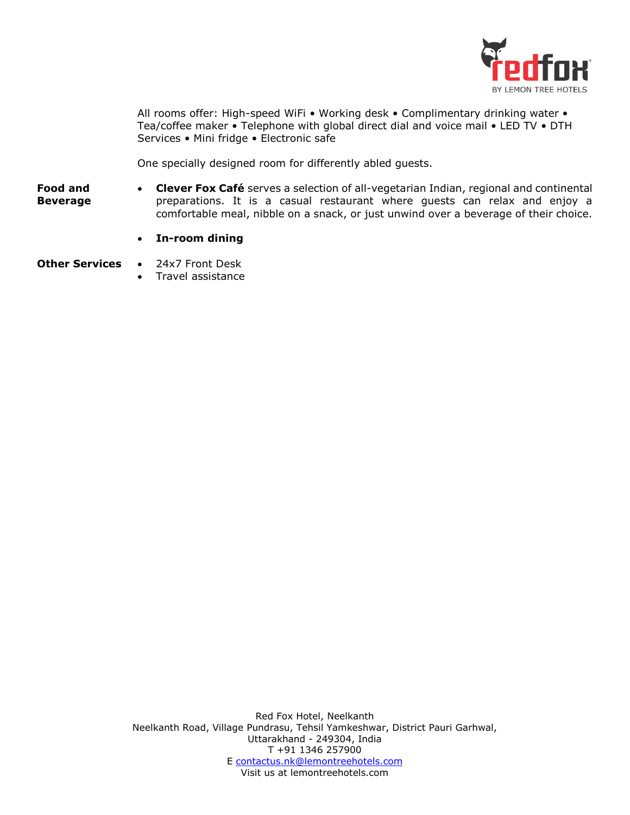

All rooms offer: High-speed WiFi • Working desk • Complimentary drinking water • Tea/coffee maker • Telephone with global direct dial and voice mail • LED TV • DTH Services • Mini fridge • Electronic safe

One specially designed room for differently abled guests.

- **Food and Beverage Clever Fox Café** serves a selection of all-vegetarian Indian, regional and continental preparations. It is a casual restaurant where guests can relax and enjoy a comfortable meal, nibble on a snack, or just unwind over a beverage of their choice.
	- **In-room dining**
- **Other Services 24x7 Front Desk** 
	- Travel assistance